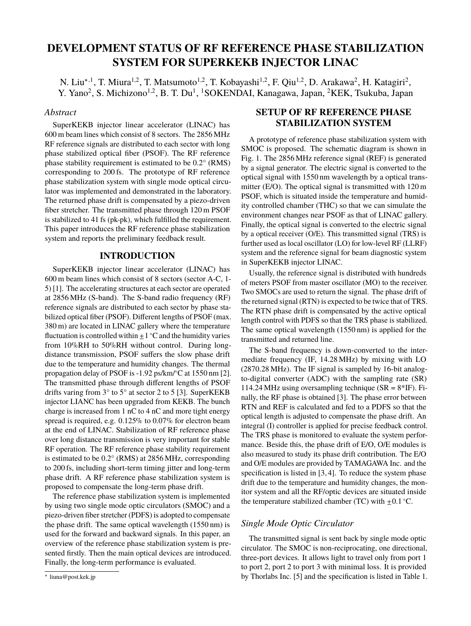# **DEVELOPMENT STATUS OF RF REFERENCE PHASE STABILIZATION SYSTEM FOR SUPERKEKB INJECTOR LINAC**

N. Liu<sup>\*,1</sup>, T. Miura<sup>1,2</sup>, T. Matsumoto<sup>1,2</sup>, T. Kobayashi<sup>1,2</sup>, F. Qiu<sup>1,2</sup>, D. Arakawa<sup>2</sup>, H. Katagiri<sup>2</sup>, Y. Yano<sup>2</sup>, S. Michizono<sup>1,2</sup>, B. T. Du<sup>1</sup>, <sup>1</sup>SOKENDAI, Kanagawa, Japan, <sup>2</sup>KEK, Tsukuba, Japan

### *Abstract*

SuperKEKB injector linear accelerator (LINAC) has 600 m beam lines which consist of 8 sectors. The 2856 MHz RF reference signals are distributed to each sector with long phase stabilized optical fiber (PSOF). The RF reference phase stability requirement is estimated to be 0.2° (RMS) corresponding to 200 fs. The prototype of RF reference phase stabilization system with single mode optical circulator was implemented and demonstrated in the laboratory. The returned phase drift is compensated by a piezo-driven fiber stretcher. The transmitted phase through 120 m PSOF is stabilized to 41 fs (pk-pk), which fulfilled the requirement. This paper introduces the RF reference phase stabilization system and reports the preliminary feedback result.

## **INTRODUCTION**

SuperKEKB injector linear accelerator (LINAC) has 600 m beam lines which consist of 8 sectors (sector A-C, 1- 5) [1]. The accelerating structures at each sector are operated at 2856 MHz (S-band). The S-band radio frequency (RF) reference signals are distributed to each sector by phase stabilized optical fiber (PSOF). Different lengths of PSOF (max. 380 m) are located in LINAC gallery where the temperature fluctuation is controlled within  $\pm 1$  °C and the humidity varies from 10%RH to 50%RH without control. During longdistance transmission, PSOF suffers the slow phase drift due to the temperature and humidity changes. The thermal propagation delay of PSOF is -1.92 ps/km/∘C at 1550 nm [2]. The transmitted phase through different lengths of PSOF drifts varing from 3° to 5° at sector 2 to 5 [3]. SuperKEKB injector LIANC has been upgraded from KEKB. The bunch charge is increased from 1 nC to 4 nC and more tight energy spread is required, e.g. 0.125% to 0.07% for electron beam at the end of LINAC. Stabilization of RF reference phase over long distance transmission is very important for stable RF operation. The RF reference phase stability requirement is estimated to be 0.2° (RMS) at 2856 MHz, corresponding to 200 fs, including short-term timing jitter and long-term phase drift. A RF reference phase stabilization system is proposed to compensate the long-term phase drift.

The reference phase stabilization system is implemented by using two single mode optic circulators (SMOC) and a piezo-driven fiber stretcher (PDFS) is adopted to compensate the phase drift. The same optical wavelength (1550 nm) is used for the forward and backward signals. In this paper, an overview of the reference phase stabilization system is presented firstly. Then the main optical devices are introduced. Finally, the long-term performance is evaluated.

## **SETUP OF RF REFERENCE PHASE STABILIZATION SYSTEM**

A prototype of reference phase stabilization system with SMOC is proposed. The schematic diagram is shown in Fig. 1. The 2856 MHz reference signal (REF) is generated by a signal generator. The electric signal is converted to the optical signal with 1550 nm wavelength by a optical transmitter (E/O). The optical signal is transmitted with 120 m PSOF, which is situated inside the temperature and humidity controlled chamber (THC) so that we can simulate the environment changes near PSOF as that of LINAC gallery. Finally, the optical signal is converted to the electric signal by a optical receiver (O/E). This transmitted signal (TRS) is further used as local oscillator (LO) for low-level RF (LLRF) system and the reference signal for beam diagnostic system in SuperKEKB injector LINAC.

Usually, the reference signal is distributed with hundreds of meters PSOF from master oscillator (MO) to the receiver. Two SMOCs are used to return the signal. The phase drift of the returned signal (RTN) is expected to be twice that of TRS. The RTN phase drift is compensated by the active optical length control with PDFS so that the TRS phase is stabilized. The same optical wavelength (1550 nm) is applied for the transmitted and returned line.

The S-band frequency is down-converted to the intermediate frequency (IF, 14.28 MHz) by mixing with LO (2870.28 MHz). The IF signal is sampled by 16-bit analogto-digital converter (ADC) with the sampling rate (SR) 114.24 MHz using oversampling technique ( $SR = 8*IF$ ). Finally, the RF phase is obtained [3]. The phase error between RTN and REF is calculated and fed to a PDFS so that the optical length is adjusted to compensate the phase drift. An integral (I) controller is applied for precise feedback control. The TRS phase is monitored to evaluate the system performance. Beside this, the phase drift of E/O, O/E modules is also measured to study its phase drift contribution. The E/O and O/E modules are provided by TAMAGAWA Inc. and the specification is listed in [3, 4]. To reduce the system phase drift due to the temperature and humidity changes, the monitor system and all the RF/optic devices are situated inside the temperature stabilized chamber (TC) with  $\pm 0.1$  °C.

## *Single Mode Optic Circulator*

The transmitted signal is sent back by single mode optic circulator. The SMOC is non-reciprocating, one directional, three-port devices. It allows light to travel only from port 1 to port 2, port 2 to port 3 with minimal loss. It is provided by Thorlabs Inc. [5] and the specification is listed in Table 1.

<sup>∗</sup> liuna@post.kek.jp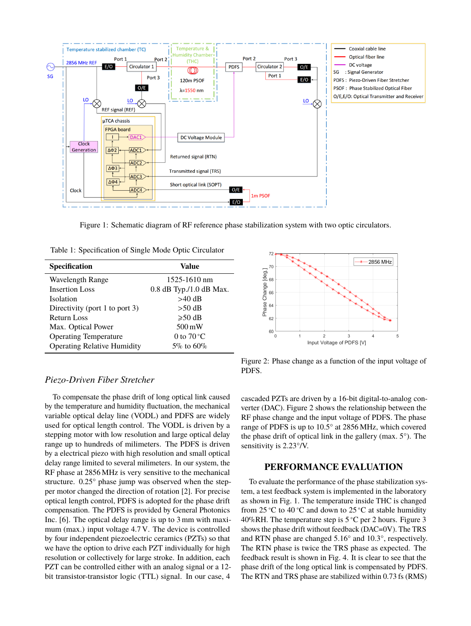

Figure 1: Schematic diagram of RF reference phase stabilization system with two optic circulators.

| Table 1: Specification of Single Mode Optic Circulator |
|--------------------------------------------------------|
|--------------------------------------------------------|

| <b>Specification</b>               | Value                   |
|------------------------------------|-------------------------|
| <b>Wavelength Range</b>            | 1525-1610 nm            |
| <b>Insertion Loss</b>              | 0.8 dB Typ./1.0 dB Max. |
| <b>Isolation</b>                   | $>40$ dB                |
| Directivity (port 1 to port 3)     | $>50$ dB                |
| <b>Return Loss</b>                 | $\geqslant 50$ dB       |
| Max. Optical Power                 | $500 \,\mathrm{mW}$     |
| <b>Operating Temperature</b>       | 0 to $70^{\circ}$ C     |
| <b>Operating Relative Humidity</b> | $5\%$ to 60\%           |



To compensate the phase drift of long optical link caused by the temperature and humidity fluctuation, the mechanical variable optical delay line (VODL) and PDFS are widely used for optical length control. The VODL is driven by a stepping motor with low resolution and large optical delay range up to hundreds of milimeters. The PDFS is driven by a electrical piezo with high resolution and small optical delay range limited to several milimeters. In our system, the RF phase at 2856 MHz is very sensitive to the mechanical structure. 0.25° phase jump was observed when the stepper motor changed the direction of rotation [2]. For precise optical length control, PDFS is adopted for the phase drift compensation. The PDFS is provided by General Photonics Inc. [6]. The optical delay range is up to 3 mm with maximum (max.) input voltage 4.7 V. The device is controlled by four independent piezoelectric ceramics (PZTs) so that we have the option to drive each PZT individually for high resolution or collectively for large stroke. In addition, each PZT can be controlled either with an analog signal or a 12 bit transistor-transistor logic (TTL) signal. In our case, 4



Figure 2: Phase change as a function of the input voltage of PDFS.

cascaded PZTs are driven by a 16-bit digital-to-analog converter (DAC). Figure 2 shows the relationship between the RF phase change and the input voltage of PDFS. The phase range of PDFS is up to 10.5° at 2856 MHz, which covered the phase drift of optical link in the gallery (max. 5°). The sensitivity is 2.23°/V.

## **PERFORMANCE EVALUATION**

To evaluate the performance of the phase stabilization system, a test feedback system is implemented in the laboratory as shown in Fig. 1. The temperature inside THC is changed from 25 <sup>∘</sup>C to 40 <sup>∘</sup>C and down to 25 <sup>∘</sup>C at stable humidity 40%RH. The temperature step is 5 <sup>∘</sup>C per 2 hours. Figure 3 shows the phase drift without feedback (DAC=0V). The TRS and RTN phase are changed 5.16° and 10.3°, respectively. The RTN phase is twice the TRS phase as expected. The feedback result is shown in Fig. 4. It is clear to see that the phase drift of the long optical link is compensated by PDFS. The RTN and TRS phase are stabilized within 0.73 fs (RMS)